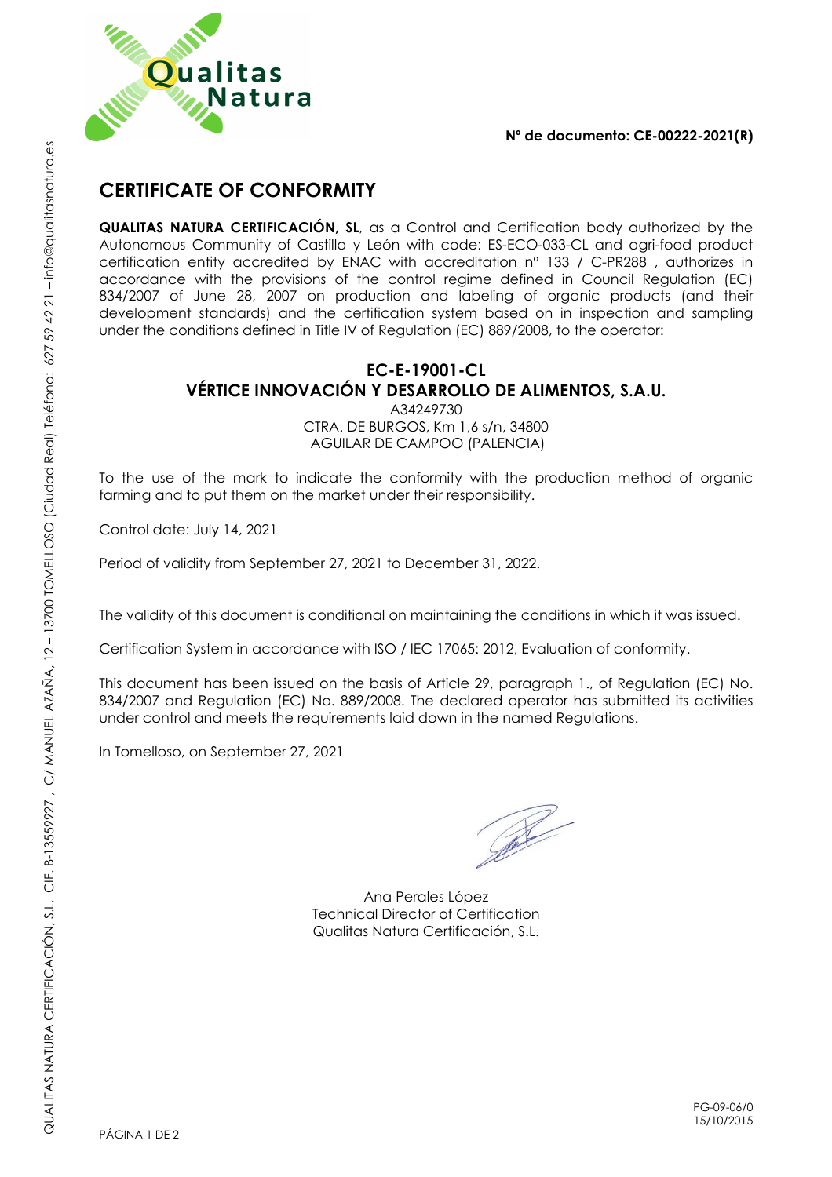

## **Nº de documento: CE-00222-2021(R)**

## **CERTIFICATE OF CONFORMITY**

**QUALITAS NATURA CERTIFICACIÓN, SL**, as a Control and Certification body authorized by the Autonomous Community of Castilla y León with code: ES-ECO-033-CL and agri-food product certification entity accredited by ENAC with accreditation nº 133 / C-PR288 , authorizes in accordance with the provisions of the control regime defined in Council Regulation (EC) 834/2007 of June 28, 2007 on production and labeling of organic products (and their development standards) and the certification system based on in inspection and sampling under the conditions defined in Title IV of Regulation (EC) 889/2008, to the operator:

## **EC-E-19001-CL VÉRTICE INNOVACIÓN Y DESARROLLO DE ALIMENTOS, S.A.U.**

A34249730

CTRA. DE BURGOS, Km 1,6 s/n, 34800 AGUILAR DE CAMPOO (PALENCIA)

To the use of the mark to indicate the conformity with the production method of organic farming and to put them on the market under their responsibility.

Control date: July 14, 2021

Period of validity from September 27, 2021 to December 31, 2022.

The validity of this document is conditional on maintaining the conditions in which it was issued.

Certification System in accordance with ISO / IEC 17065: 2012, Evaluation of conformity.

This document has been issued on the basis of Article 29, paragraph 1., of Regulation (EC) No. 834/2007 and Regulation (EC) No. 889/2008. The declared operator has submitted its activities under control and meets the requirements laid down in the named Regulations.

In Tomelloso, on September 27, 2021

R

Ana Perales López Technical Director of Certification Qualitas Natura Certificación, S.L.

PG-09-06/0 15/10/2015